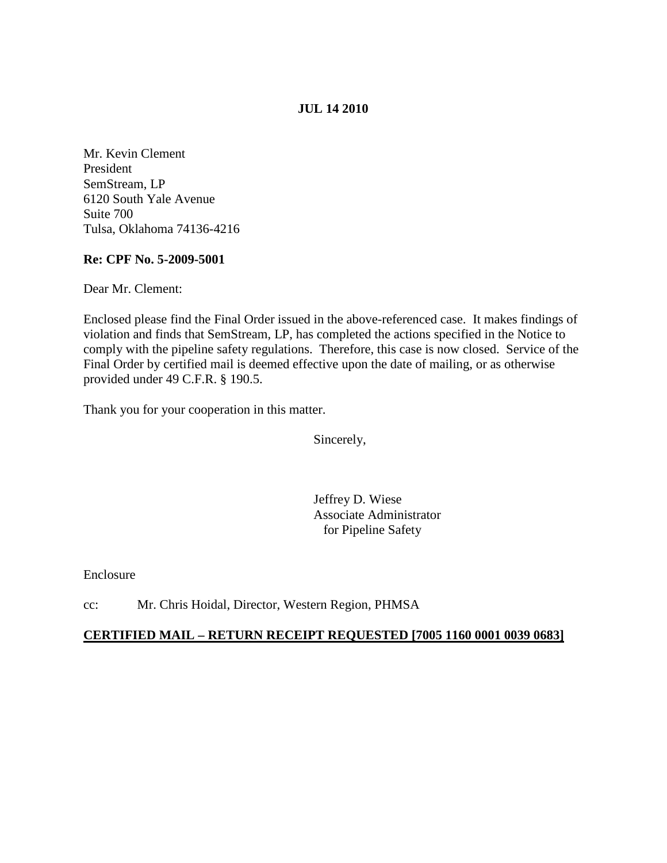## **JUL 14 2010**

Mr. Kevin Clement President SemStream, LP 6120 South Yale Avenue Suite 700 Tulsa, Oklahoma 74136-4216

# **Re: CPF No. 5-2009-5001**

Dear Mr. Clement:

Enclosed please find the Final Order issued in the above-referenced case. It makes findings of violation and finds that SemStream, LP, has completed the actions specified in the Notice to comply with the pipeline safety regulations. Therefore, this case is now closed. Service of the Final Order by certified mail is deemed effective upon the date of mailing, or as otherwise provided under 49 C.F.R. § 190.5.

Thank you for your cooperation in this matter.

Sincerely,

Jeffrey D. Wiese Associate Administrator for Pipeline Safety

Enclosure

cc: Mr. Chris Hoidal, Director, Western Region, PHMSA

## **CERTIFIED MAIL – RETURN RECEIPT REQUESTED [7005 1160 0001 0039 0683]**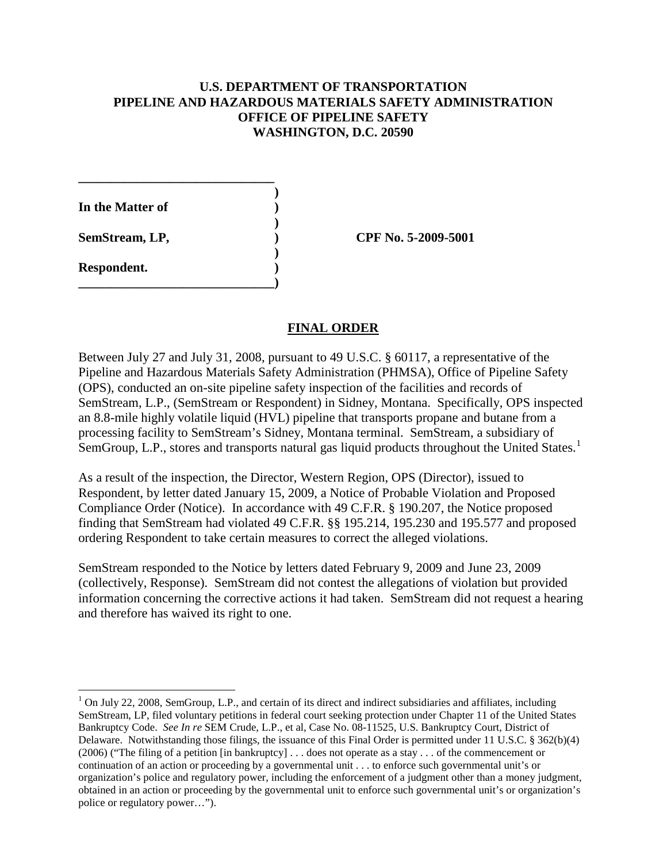# **U.S. DEPARTMENT OF TRANSPORTATION PIPELINE AND HAZARDOUS MATERIALS SAFETY ADMINISTRATION OFFICE OF PIPELINE SAFETY WASHINGTON, D.C. 20590**

**) In the Matter of ) ) SemStream, LP, ) CPF No. 5-2009-5001 ) Respondent. ) \_\_\_\_\_\_\_\_\_\_\_\_\_\_\_\_\_\_\_\_\_\_\_\_\_\_\_\_\_\_)**

 $\overline{\phantom{0}}$ 

**\_\_\_\_\_\_\_\_\_\_\_\_\_\_\_\_\_\_\_\_\_\_\_\_\_\_\_\_\_\_**

#### **FINAL ORDER**

Between July 27 and July 31, 2008, pursuant to 49 U.S.C. § 60117, a representative of the Pipeline and Hazardous Materials Safety Administration (PHMSA), Office of Pipeline Safety (OPS), conducted an on-site pipeline safety inspection of the facilities and records of SemStream, L.P., (SemStream or Respondent) in Sidney, Montana. Specifically, OPS inspected an 8.8-mile highly volatile liquid (HVL) pipeline that transports propane and butane from a processing facility to SemStream's Sidney, Montana terminal. SemStream, a subsidiary of SemGroup, L.P., stores and transports natural gas liquid products throughout the United States.<sup>[1](#page-1-0)</sup>

As a result of the inspection, the Director, Western Region, OPS (Director), issued to Respondent, by letter dated January 15, 2009, a Notice of Probable Violation and Proposed Compliance Order (Notice). In accordance with 49 C.F.R. § 190.207, the Notice proposed finding that SemStream had violated 49 C.F.R. §§ 195.214, 195.230 and 195.577 and proposed ordering Respondent to take certain measures to correct the alleged violations.

SemStream responded to the Notice by letters dated February 9, 2009 and June 23, 2009 (collectively, Response). SemStream did not contest the allegations of violation but provided information concerning the corrective actions it had taken. SemStream did not request a hearing and therefore has waived its right to one.

<span id="page-1-0"></span> $1$  On July 22, 2008, SemGroup, L.P., and certain of its direct and indirect subsidiaries and affiliates, including SemStream, LP, filed voluntary petitions in federal court seeking protection under Chapter 11 of the United States Bankruptcy Code. *See In re* SEM Crude, L.P., et al, Case No. 08-11525, U.S. Bankruptcy Court, District of Delaware. Notwithstanding those filings, the issuance of this Final Order is permitted under 11 U.S.C. § 362(b)(4) (2006) ("The filing of a petition [in bankruptcy] . . . does not operate as a stay . . . of the commencement or continuation of an action or proceeding by a governmental unit . . . to enforce such governmental unit's or organization's police and regulatory power, including the enforcement of a judgment other than a money judgment, obtained in an action or proceeding by the governmental unit to enforce such governmental unit's or organization's police or regulatory power…").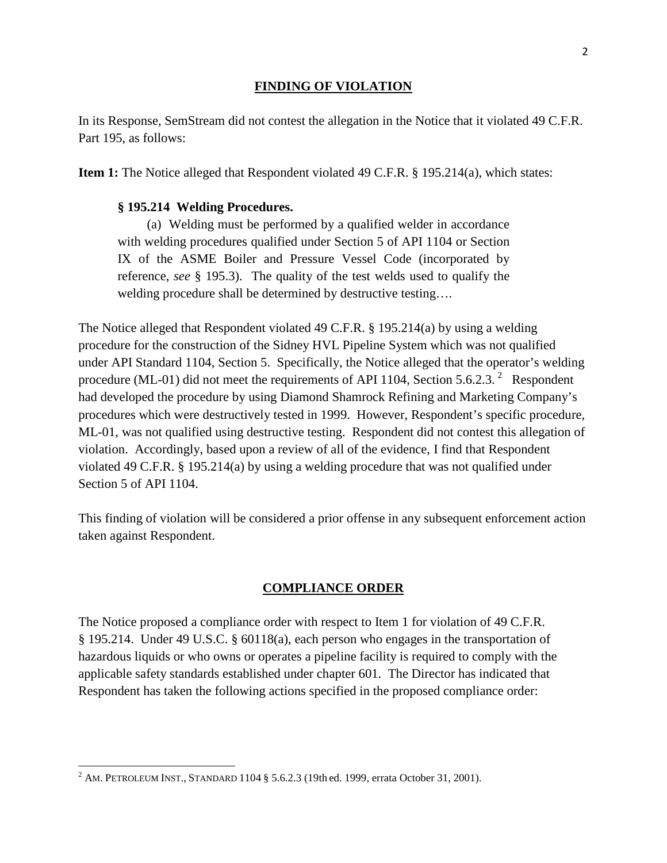#### **FINDING OF VIOLATION**

In its Response, SemStream did not contest the allegation in the Notice that it violated 49 C.F.R. Part 195, as follows:

**Item 1:** The Notice alleged that Respondent violated 49 C.F.R. § 195.214(a), which states:

## **§ 195.214 Welding Procedures.**

(a) Welding must be performed by a qualified welder in accordance with welding procedures qualified under Section 5 of API 1104 or Section IX of the ASME Boiler and Pressure Vessel Code (incorporated by reference, *see* § 195.3). The quality of the test welds used to qualify the welding procedure shall be determined by destructive testing….

The Notice alleged that Respondent violated 49 C.F.R. § 195.214(a) by using a welding procedure for the construction of the Sidney HVL Pipeline System which was not qualified under API Standard 1104, Section 5. Specifically, the Notice alleged that the operator's welding procedure (ML-01) did not meet the requirements of API 1104, Section 5.6.[2](#page-2-0).3.<sup>2</sup> Respondent had developed the procedure by using Diamond Shamrock Refining and Marketing Company's procedures which were destructively tested in 1999. However, Respondent's specific procedure, ML-01, was not qualified using destructive testing. Respondent did not contest this allegation of violation. Accordingly, based upon a review of all of the evidence, I find that Respondent violated 49 C.F.R. § 195.214(a) by using a welding procedure that was not qualified under Section 5 of API 1104.

This finding of violation will be considered a prior offense in any subsequent enforcement action taken against Respondent.

## **COMPLIANCE ORDER**

The Notice proposed a compliance order with respect to Item 1 for violation of 49 C.F.R. § 195.214. Under 49 U.S.C. § 60118(a), each person who engages in the transportation of hazardous liquids or who owns or operates a pipeline facility is required to comply with the applicable safety standards established under chapter 601. The Director has indicated that Respondent has taken the following actions specified in the proposed compliance order:

l

<span id="page-2-0"></span><sup>&</sup>lt;sup>2</sup> AM. PETROLEUM INST., STANDARD 1104 § 5.6.2.3 (19th ed. 1999, errata October 31, 2001).